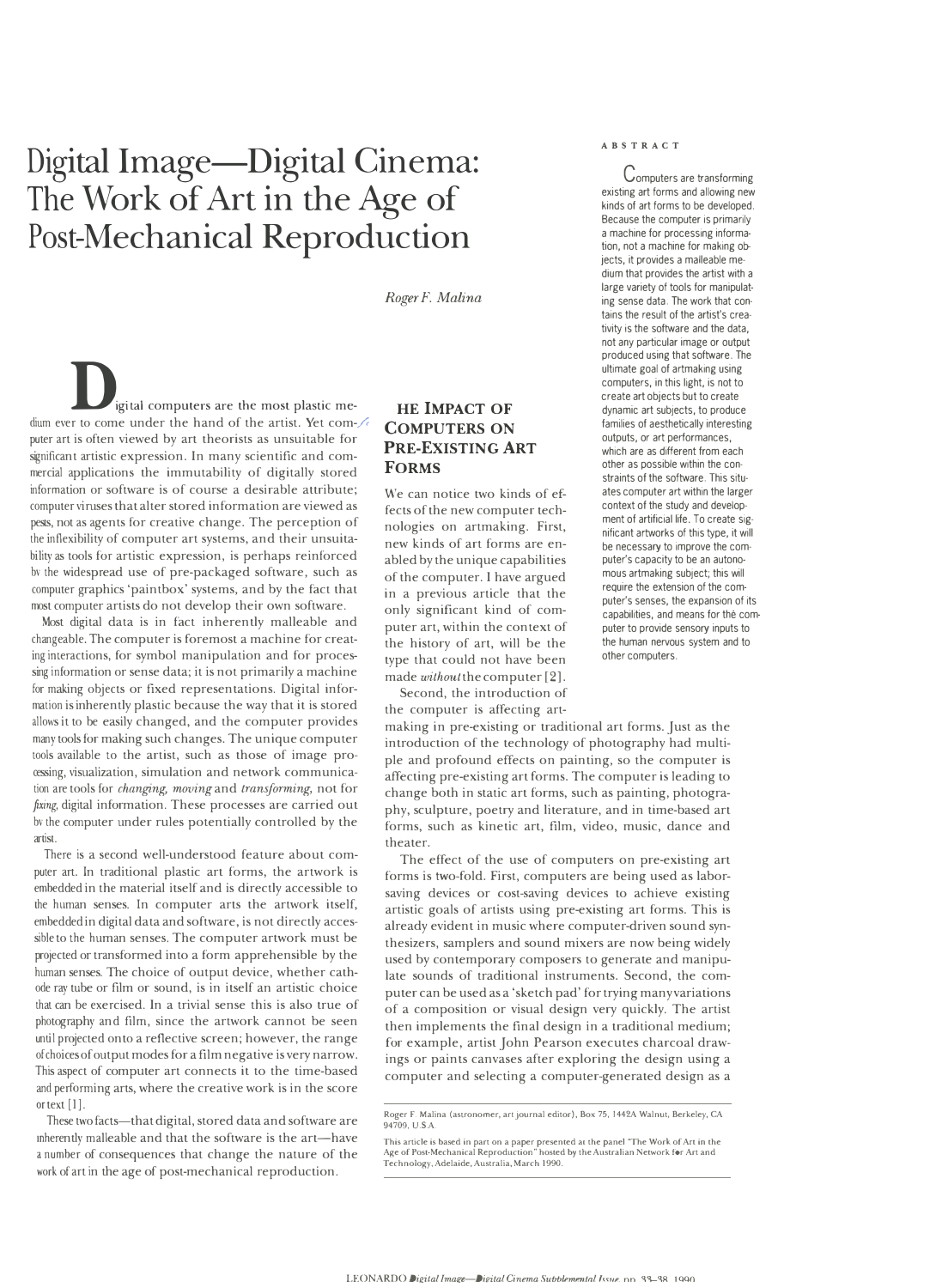# **Digital Image-Digital Cinema: ABSTRACT The Work of Art in the Age of**  Post-Mechanical Reproduction **amachine** for processing informa-

*Roger F. Malina* 

igital computers are the most plastic medium ever to come under the hand of the artist. Yet com-/< puter art is often viewed by art theorists as unsuitable for significant artistic expression. In many scientific and commercial applications the immutability of digitally stored information or software is of course a desirable attribute; computer viruses that alter stored information are viewed as pests, not as agents for creative change. The perception of the inflexibility of computer art systems, and their unsuitability as tools for artistic expression, is perhaps reinforced bv the widespread use of pre-packaged software, such as computer graphics 'paintbox' systems, and by the fact that most computer artists do not develop their own software.

Most digital data is in fact inherently malleable and changeable. The computer is foremost a machine for creating imeractions, for symbol manipulation and for processing information or sense data; it is not primarily a machine for making objects or fixed representations. Digital information is inherently plastic because the way that it is stored allows it to be easily changed, and the computer provides many tools for making such changes. The unique computer tools available to the artist, such as those of image processing, visualization, simulation and network communication are tools for *changing, moving* and *transforming*, not for *fixing,* digital information. These processes are carried out bv the computer under rules potentially controlled by the artist.

There is a second well-understood feature about computer art. In traditional plastic art forms, the artwork is embedded in the material itself and is directly accessible to the human senses. In computer arts the artwork itself, embedded in digital data and software, is not directly accessible to the human senses. The computer artwork must be projected or transformed into a form apprehensible by the human senses. The choice of output device, whether cathode ray tube or film or sound, is in itself an artistic choice that can be exercised. In a trivial sense this is also true of photography and film, since the artwork cannot be seen until projected onto a reflective screen; however, the range of choices of output modes for a film negative is very narrow. This aspect of computer art connects it to the time-based and performing arts, where the creative work is in the score **or** text [I).

These two facts-that digital, stored data and software are mherently malleable and that the software is the art-have **a** number of consequences that change the nature of the **work** of art in the age of post-mechanical reproduction.

## **HE IMPACT OF COMPUTERS ON PRE-EXISTING ART FORMS**

We can notice two kinds of effects of the new computer technologies on artmaking. First, new kinds of art forms are enabled by the unique capabilities of the computer. I have argued in a previous article that the only significant kind of computer art, within the context of the history of art, will be the type that could not have been made *without* the computer [2]. Second, the introduction of

the computer is affecting art-

making in pre-existing or traditional art forms. Just as the introduction of the technology of photography had multiple and profound effects on painting, so the computer is affecting pre-existing art forms. The computer is leading to change both in static art forms, such as painting, photography, sculpture, poetry and literature, and in time-based art forms, such as kinetic art, film, video, music, dance and theater.

The effect of the use of computers on pre-existing art forms is two-fold. First, computers are being used as laborsaving devices or cost-saving devices to achieve existing artistic goals of artists using pre-existing art forms. This is already evident in music where computer-driven sound synthesizers, samplers and sound mixers are now being widely used by contemporary composers to generate and manipulate sounds of traditional instruments. Second, the computer can be used as a 'sketch pad' for trying many variations of a composition or visual design very quickly. The artist then implements the final design in a traditional medium; for example, artist John Pearson executes charcoal drawings or paints canvases after exploring the design using a computer and selecting a computer-generated design as a

Computers are transforming existing art forms and allowing new kinds of art forms to be developed. Because the computer is primarily tion, not a machine for making objects, it provides a malleable medium that provides the artist with a large variety of tools for manipulating sense data. The work that contains the result of the artist's creativity is the software and the data, not any particular image or output produced using that software. The ultimate goal of artmaking using computers, in this light, is not to create art objects but to create dynamic art subjects, to produce families of aesthetically interesting outputs, or art performances, which are as different from each other as possible within the constraints of the software. This situates computer art within the larger context of the study and development of artificial life. To create significant artworks of this type, it will be necessary to improve the computer's capacity to be an autonomous artmaking subject; this will require the extension of the computer's senses, the expansion of its capabilities, and means for the computer to provide sensory inputs to the human nervous system and to other computers.

**Roger F. Malina (aslronomer, an journal editor), Box 75, 1442A Walnut, Berkeley, CA**  94709. **U.S.A.** 

This article is based in part on a paper presented at the panel "The Work of Art in the<br>Age of Post-Mechanical Reproduction" hosted by the Australian Network for Art and<br>Technology, Adelaide, Australia, March 1990.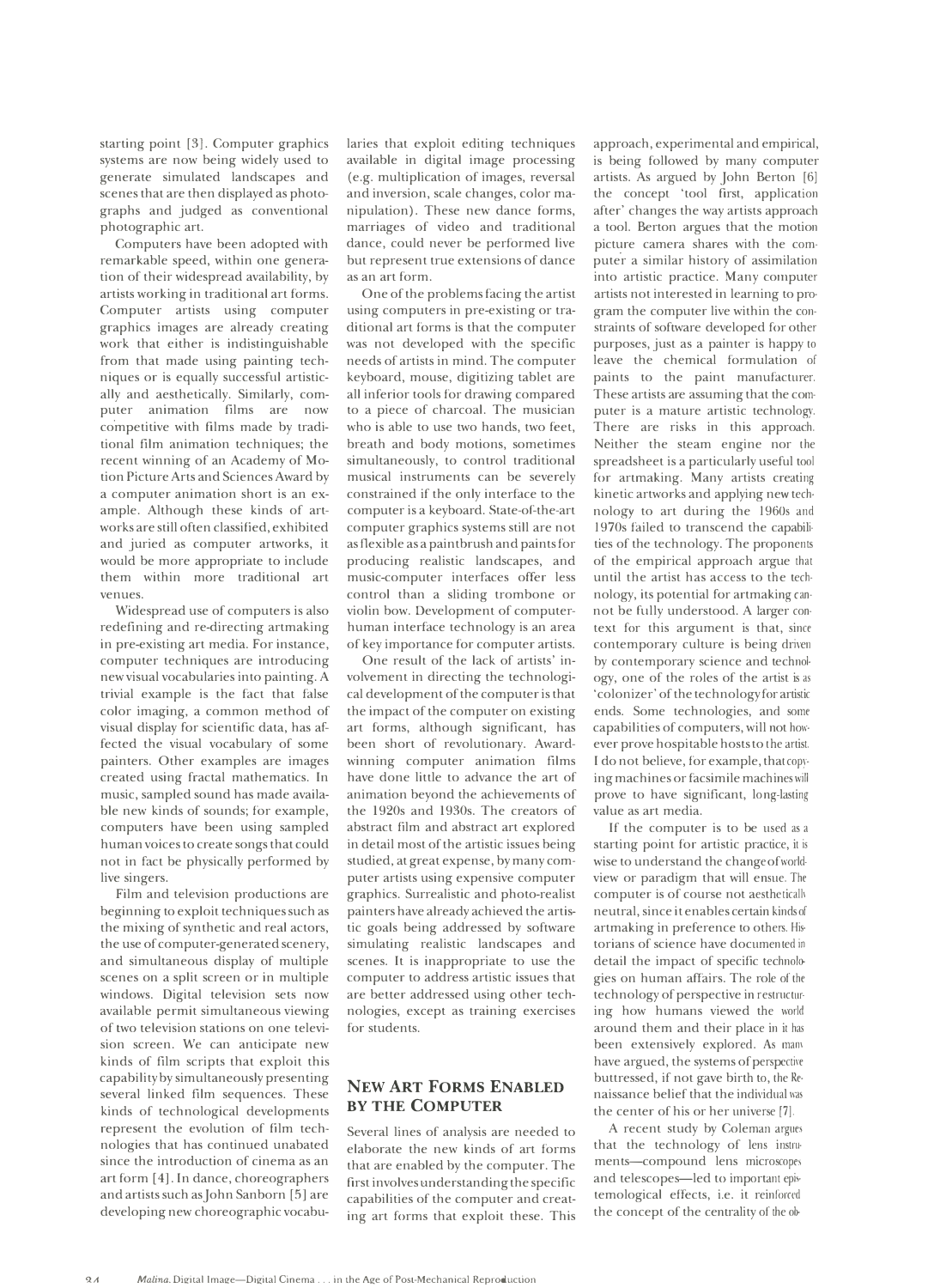starting point [3]. Computer graphics systems are now being widely used to generate simulated landscapes and scenes that are then displayed as photographs and judged as conventional photographic art.

Computers have been adopted with remarkable speed, within one generation of their widespread availability, by artists working in traditional art forms. Computer artists using computer graphics images are already creating work that either is indistinguishable from that made using painting techniques or is equally successful artistically and aesthetically. Similarly, computer animation films are now co'mpetitive with films made by traditional film animation techniques; the recent winning of an Academy of Motion Picture Arts and Sciences Award by a computer animation short is an example. Although these kinds of artworks are still often classified, exhibited and juried as computer artworks, it would be more appropriate to include them within more traditional art venues.

Widespread use of computers is also redefining and re-directing artmaking in pre-existing art media. For instance, computer techniques are introducing new visual vocabularies into painting. A trivial example is the fact that false color imaging, a common method of visual display for scientific data, has affected the visual vocabulary of some painters. Other examples are images created using fractal mathematics. In music, sampled sound has made available new kinds of sounds; for example, computers have been using sampled human voices to create songs that could not in fact be physically performed by live singers.

Film and television productions are beginning to exploit techniques such as the mixing of synthetic and real actors, the use of computer-generated scenery, and simultaneous display of multiple scenes on a split screen or in multiple windows. Digital television sets now available permit simultaneous viewing of two television stations on one television screen. We can anticipate new kinds of film scripts that exploit this capability by simultaneously presenting several linked film sequences. These kinds of technological developments represent the evolution of film technologies that has continued unabated since the introduction of cinema as an art form [ 4). In dance, choreographers and artists such as John Sanborn [5] are developing new choreographic vocabularies that exploit editing techniques available in digital image processing (e.g. multiplication of images, reversal and inversion, scale changes, color manipulation). These new dance forms, marriages of video and traditional dance, could never be performed live but represent true extensions of dance as an art form.

One of the problems facing the artist using computers in pre-existing or traditional art forms is that the computer was not developed with the specific needs of artists in mind. The computer keyboard, mouse, digitizing tablet are all inferior tools for drawing compared to a piece of charcoal. The musician who is able to use two hands, two feet, breath and body motions, sometimes simultaneously, to control traditional musical instruments can be severely constrained if the only interface to the computer is a keyboard. State-of-the-art computer graphics systems still are not as flexible as a paintbrush and paints for producing realistic landscapes, and music-computer interfaces offer less control than a sliding trombone or violin bow. Development of computerhuman interface technology is an area of key importance for computer artists.

One result of the lack of artists' involvement in directing the technological development of the computer is that the impact of the computer on existing art forms, although significant, has been short of revolutionary. Awardwinning computer animation films have done little to advance the art of animation beyond the achievements of the 1920s and 1930s. The creators of abstract film and abstract art explored in detail most of the artistic issues being studied, at great expense, by many computer artists using expensive computer graphics. Surrealistic and photo-realist painters have already achieved the artistic goals being addressed by software simulating realistic landscapes and scenes. It is inappropriate to use the computer to address artistic issues that are better addressed using other technologies, except as training exercises for students.

### **NEW ART FORMS ENABLED BY THE COMPUTER**

Several lines of analysis are needed to elaborate the new kinds of art forms that are enabled by the computer. The first involves understanding the specific capabilities of the computer and creating art forms that exploit these. This

approach, experimental and empirical, is being followed by many computer artists. As argued by John Berton [6) the concept 'tool first, application after' changes the way artists approach a tool. Berton argues that the motion picture camera shares with the computer a similar history of assimilation into artistic practice. Many computer artists not interested in learning to program the computer live within the constraints of software developed for other purposes, just as a painter is happy to leave the chemical formulation of paints to the paint manufacturer. These artists are assuming that the computer is a mature artistic technology. There are risks in this approach. Neither the steam engine nor the spreadsheet is a particularly useful tool for artrnaking. Many artists creating kinetic artworks and applying new technology to art during the 1960s and 1970s failed to transcend the capabilities of the technology. The proponents of the empirical approach argue that until the artist has access to the technology, its potential for artmaking cannot be fully understood. A larger context for this argument is that, since contemporary culture is being driven by contemporary science and technology, one of the roles of the artist is as 'colonizer' of the technology for artistic ends. Some technologies, and some capabilities of computers, will not however prove hospitable hosts to the artist. I do not believe, for example, that copying machines or facsimile machines will prove to have significant, long-lasting value as art media.

If the computer is to be used as a starting point for artistic practice, it is wise to understand the change of world· view or paradigm that will ensue. The computer is of course not aestheticalh neutral, since it enables certain kinds of artmaking in preference to others. Historians of science have documented in detail the impact of specific technologies on human affairs. The role of the technology of perspective in restructur· ing how humans viewed the world around them and their place in it has been extensively explored. As mam have argued, the systems of perspective buttressed, if not gave birth to, the Renaissance belief that the individual was the center of his or her universe [7].

A recent study by Coleman argues that the technology of lens instru· ments-compound lens microscopes and telescopes-led to important epistemological effects, i.e. it reinforced the concept of the centrality of the ob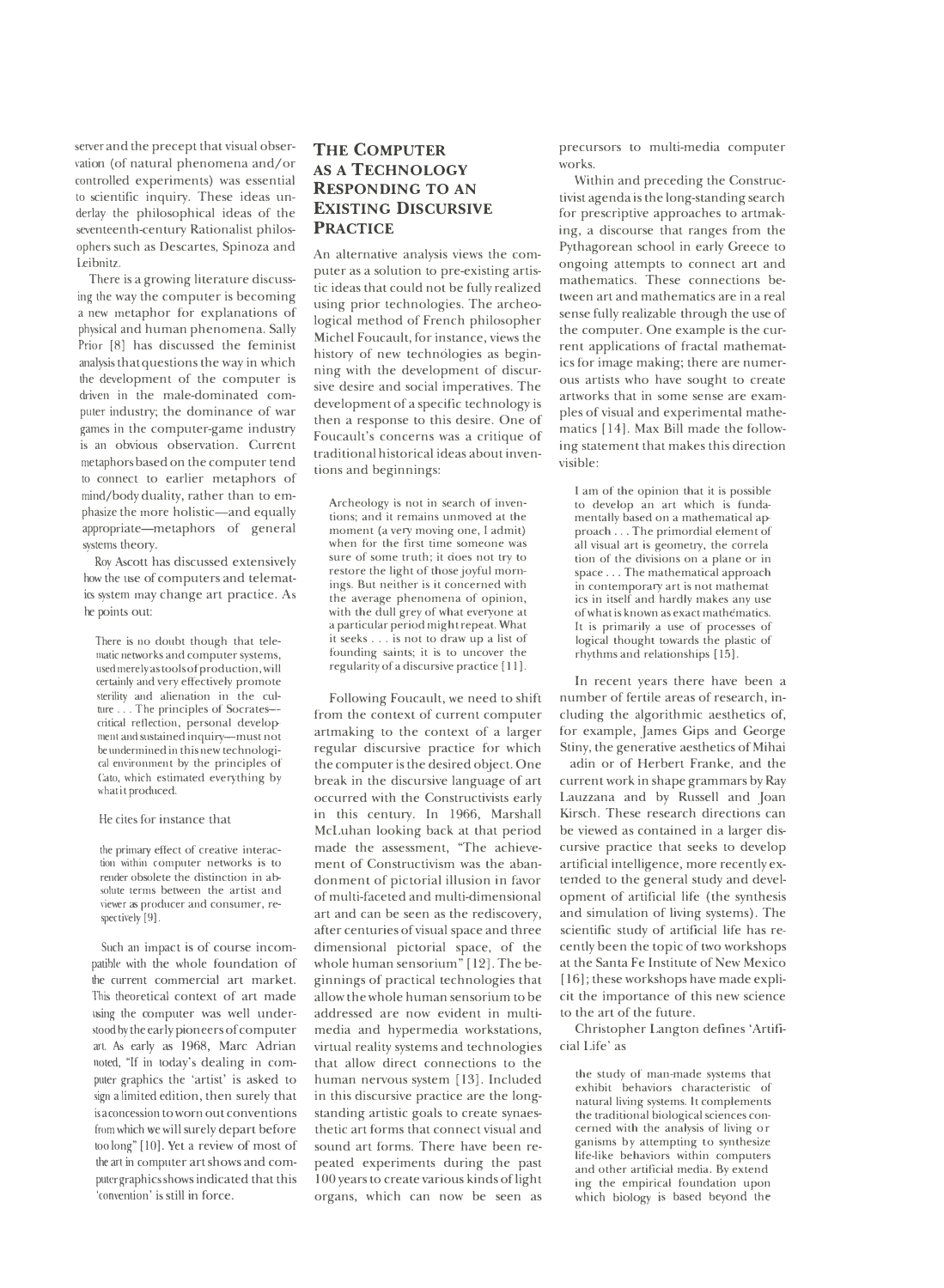server and the precept that visual observation (of natural phenomena and/or controlled experiments) was essential to scientific inquiry. These ideas underlay the philosophical ideas of the seventeenth-century Rationalist philosophers such as Descartes, Spinoza and Leibnitz.

There is a growing literature discussing the way the computer is becoming a new metaphor for explanations of physical and human phenomena. Sally Prior [8] has discussed the feminist analysis that questions the way in which the development of the computer is driven in the male-dominated computer industry; the dominance of war games in the computer-game industry is an obvious observation. Current metaphors based on the computer tend to connect to earlier metaphors of mind/body duality, rather than to emphasize the more holistic-and equally appropriate-metaphors of general systems theory.

Roy Ascott has discussed extensively how the use of computers and telematics system may change art practice. As he points out:

There is no doubt though that telemalic networks and computer systems, used merely as tools of production, will certainly and very effectively promote sterility and alienation in the culture ... The principles of Socrates-critical reflection, personal development and sustained inquiry-must not be undermined in this new technological environment by the principles of Cato, which estimated everything by what it produced.

He cites for instance that

the primary effect of creative interaction within computer networks is to render obsolete the distinction in absolute terms between the artist and viewer as producer and consumer, respectively [9].

Such an impact is of course incompatible with the whole foundation of the current commercial art market. This theoretical context of art made using the computer was well understood by the early pioneers of computer an. As early as 1968, Marc Adrian noted, "If in today's dealing in computer graphics the 'artist' is asked to sign a limited edition, then surely that is a concession to worn out conventions from which we will surely depart before too long" [JO]. Yet a review of most of the art in computer art shows and computer graphics shows indicated that this 'convention' is still in force.

# **THE COMPUTER AS A TECHNOLOGY RESPONDING TO AN EXISTING DISCURSIVE PRACTICE**

An alternative analysis views the computer as a solution to pre-existing artistic ideas that could not be fully realized using prior technologies. The archeological method of French philosopher Michel Foucault, for instance, views the history of new technologies as beginning with the development of discursive desire and social imperatives. The development of a specific technology is then a response to this desire. One of Foucault's concerns was a critique of traditional historical ideas about inventions and beginnings:

Archeology is not in search of inventions; and it remains unmoved at the moment (a very moving one, I admit) when for the first time someone was sure of some truth; it does not try to restore the light of those joyful mornings. But neither is it concerned with the average phenomena of opinion, with the dull grey of what everyone at a particular period might repeat. What it seeks .. . is not to draw up a list of founding saints; it is to uncover the regularity of a discursive practice [11].

Following Foucault, we need to shift from the context of current computer artmaking to the context of a larger regular discursive practice for which the computer is the desired object. One break in the discursive language of art occurred with the Constructivists early in this century. In 1966, Marshall McLuhan looking back at that period made the assessment, "The achievement of Constructivism was the abandonment of pictorial illusion in favor of multi-faceted and multi-dimensional art and can be seen as the rediscovery, after centuries of visual space and three dimensional pictorial space, of the whole human sensorium" [12]. The beginnings of practical technologies that allow the whole human sensorium to be addressed are now evident in multimedia and hypermedia workstations, virtual reality systems and technologies that allow direct connections to the human nervous system [13]. Included in this discursive practice are the longstanding artistic goals to create synaesthetic art forms that connect visual and sound art forms. There have been repeated experiments during the past 100 years to create various kinds of light organs, which can now be seen as

precursors to multi-media computer works.

Within and preceding the Constructivist agenda is the long-standing search for prescriptive approaches to artmaking, a discourse that ranges from the Pythagorean school in early Greece to ongoing attempts to connect art and mathematics. These connections between art and mathematics are in a real sense fully realizable through the use of the computer. One example is the current applications of fractal mathematics for image making; there are numerous artists who have sought to create artworks that in some sense are examples of visual and experimental mathematics [14]. Max Bill made the following statement that makes this direction visible:

I am of the opinion that it is possible to develop an art which is fundamentally based on a mathematical approach ... The primordial element of all visual art is geometry, the correla tion of the divisions on a plane or in space . . . The mathematical approach in contemporary art is not mathemat ics in itself and hardly makes any use of what is known as exact mathematics. It is primarily a use of processes of logical thought towards the plastic of rhythms and relationships [15].

In recent years there have been a number of fertile areas of research, including the algorithmic aesthetics of, for example, James Gips and George Stiny, the generative aesthetics of Mihai

adin or of Herbert Franke, and the current work in shape grammars by Ray Lauzzana and by Russell and Joan Kirsch. These research directions can be viewed as contained in a larger discursive practice that seeks to develop artificial intelligence, more recently extended to the general study and development of artificial life (the synthesis and simulation of living systems). The scientific study of artificial life has recently been the topic of two workshops at the Santa Fe Institute of New Mexico [16]; these workshops have made explicit the importance of this new science to the art of the future.

Christopher Langton defines 'Artificial Life' as

the study of man-made systems that exhibit behaviors characteristic of natural living systems. It complements the traditional biological sciences concerned with the analysis of living organisms by attempting to synthesize life-like behaviors within computers and other artificial media. By extend ing the empirical foundation upon which biology is based beyond the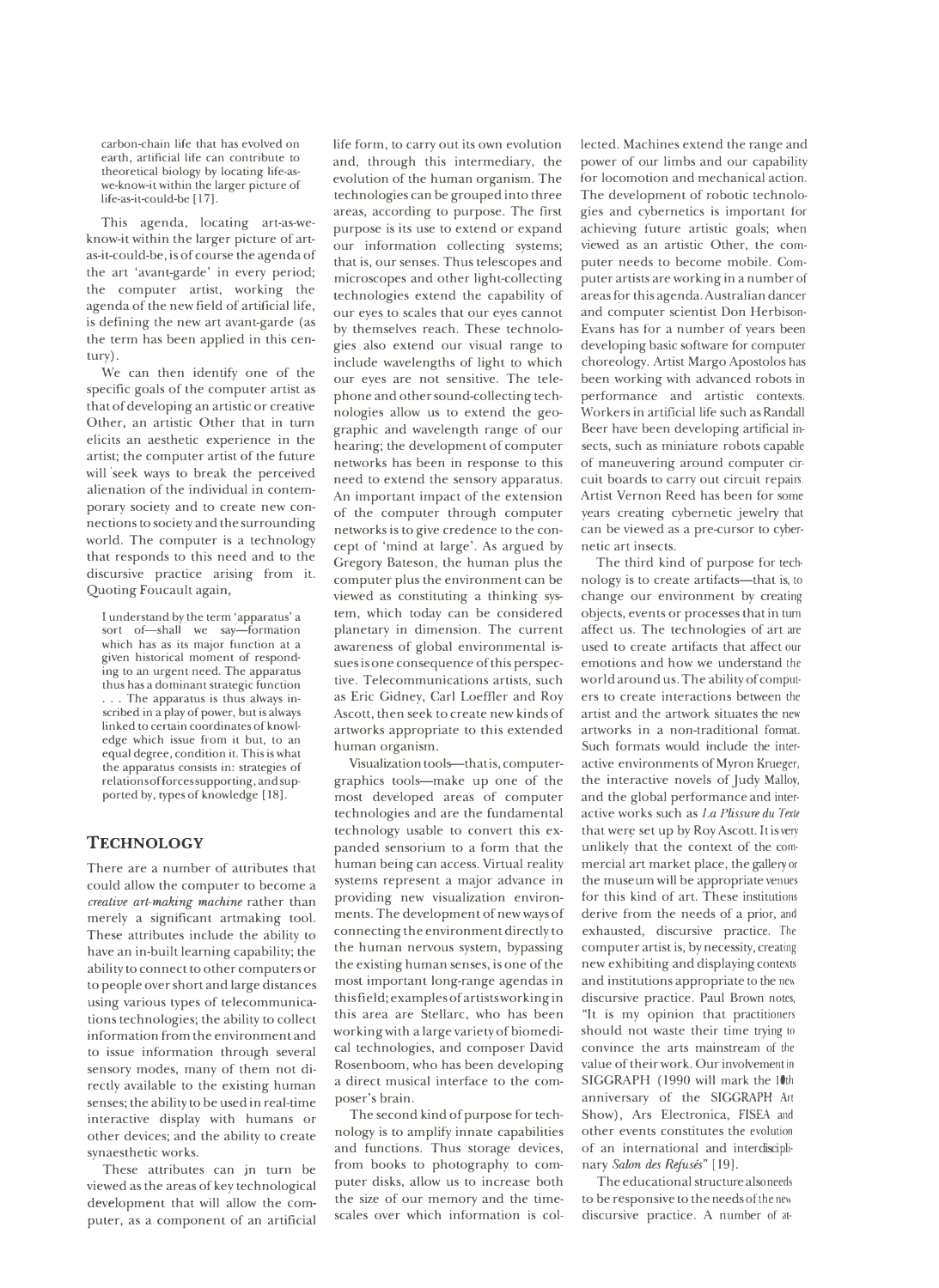carbon-chain life that has evolved on earth, artificial life can contribute to theoretical biology by locating life-aswe-know-it within the larger picture of life-as-it-could-be [17].

This agenda, locating art-as-weknow-it within the larger picture of artas-it-could-be, is of course the agenda of the art 'avant-garde' in every period; the computer artist, working the agenda of the new field of artificial life, is defining the new art avant-garde (as the term has been applied in this century).

We can then identify one of the specific goals of the computer artist as that of developing an artistic or creative Other, an artistic Other that in tum elicits an aesthetic experience in the artist; the computer artist of the future will 'seek ways to break the perceived alienation of the individual in contemporary society and to create new connections to society and the surrounding world. The computer is a technology that responds to this need and to the discursive practice arising from it. Quoting Foucault again,

I understand by the term 'apparatus' a sort of-shall we say-formation which has as its major function at a given historical moment of responding to an urgent need. The apparatus thus has a dominant strategic function ... The apparatus is thus always inscribed in a play of power, but is always linked to certain coordinates of knowledge which issue from it but, to an equal degree, condition it. This is what the apparatus consists in: strategies of relations of forces supporting, and supported by, types of knowledge [ 18].

#### **TECHNOLOGY**

There are a number of attributes that could allow the computer to become a *creative art-making machine* rather than merely a significant artmaking tool. These attributes include the ability to have an in-built learning capability; the ability to connect to other computers or to people over short and large distances using various types of telecommunications technologies; the ability to collect information from the environment and to issue information through several sensory modes, many of them not directly available to the existing human senses; the ability to be used in real-time interactive display with humans or other devices; and the ability to create synaesthetic works.

These attributes can jn tum be viewed as the areas of key technological development that will allow the computer, as a component of an artificial life form, to carry out its own evolution and, through this intermediary, the evolution of the human organism. The technologies can be grouped into three areas, according to purpose. The first purpose is its use to extend or expand our information collecting systems; that is, our senses. Thus telescopes and microscopes and other light-collecting technologies extend the capability of our eyes to scales that our eyes cannot by themselves reach. These technologies also extend our visual range to include wavelengths of light to which our eyes are not sensitive. The telephone and other sound-collecting technologies allow us to extend the geographic and wavelength range of our hearing; the development of computer networks has been in response to this need to extend the sensory apparatus. An important impact of the extension of the computer through computer networks is to give credence to the concept of 'mind at large'. As argued by Gregory Bateson, the human plus the computer plus the environment can be viewed as constituting a thinking system, which today can be considered planetary in dimension. The current awareness of global environmental issues is one consequence of this perspective. Telecommunications artists, such as Eric Gidney, Carl Loeffler and Roy Ascott, then seek to create new kinds of artworks appropriate to this extended human organism.

Visualization tools---that is, computergraphics tools-make up one of the most developed areas of computer technologies and are the fundamental technology usable to convert this expanded sensorium to a form that the human being can access. Virtual reality systems represent a major advance in providing new visualization environments. The development of new ways of connecting the environment directly to the human nervous system, bypassing the existing human senses, is one of the most important long-range agendas in this field; examples of artists working in this area are Stellarc, who has been working with a large variety of biomedical technologies, and composer David Rosenboom, who has been developing a direct musical interface to the composer's brain.

The second kind of purpose for technology is to amplify innate capabilities and functions. Thus storage devices, from books to photography to computer disks, allow us to increase both the size of our memory and the timescales over which information is collected. Machines extend the range and power of our limbs and our capability for locomotion and mechanical action. The development of robotic technologies and cybernetics is important for achieving future artistic goals; when viewed as an artistic Other, the computer needs to become mobile. Computer artists are working in a number of areas for this agenda. Australian dancer and computer scientist Don Herbison-Evans has for a number of years been developing basic software for computer choreology. Artist Margo Apostolos has been working with advanced robots in performance and artistic contexts. Workers in artificial life such as Randall Beer have been developing artificial insects, such as miniature robots capable of maneuvering around computer circuit boards to carry out circuit repairs. Artist Vernon Reed has been for some years creating cybernetic jewelry that can be viewed as a pre-cursor to cybernetic art insects.

The third kind of purpose for technology is to create artifacts—that is, to change our environment by creating objects, events or processes that in turn affect us. The technologies of art are used to create artifacts that affect our emotions and how we understand the world around us. The ability of computers to create interactions between the artist and the artwork situates the new artworks in a non-traditional format. Such formats would include the interactive environments of Myron Krueger, the interactive novels of Judy Malloy, and the global performance and interactive works such as *La Plissure du Texte* that were set up by Roy Ascott. It is very unlikely that the context of the commercial art market place, the gallery or the muse um will be appropriate venues for this kind of art. These institutions derive from the needs of a prior, and exhausted, discursive practice. The computer artist is, by necessity, creating new exhibiting and displaying contexts and institutions appropriate to the new discursive practice. Paul Brown notes, "It is my opinion that practitioners should not waste their time trying to convince the arts mainstream of the value of their work. Our involvement in SIGGRAPH (1990 will mark the 10th anniversary of the SIGGRAPH An Show), Ars Electronica, FISEA and other events constitutes the evolution of an international and interdisciplinary *Salon des Refuses"* [19].

The educational structure also needs to be responsive to the needs of the new discursive practice. A number of at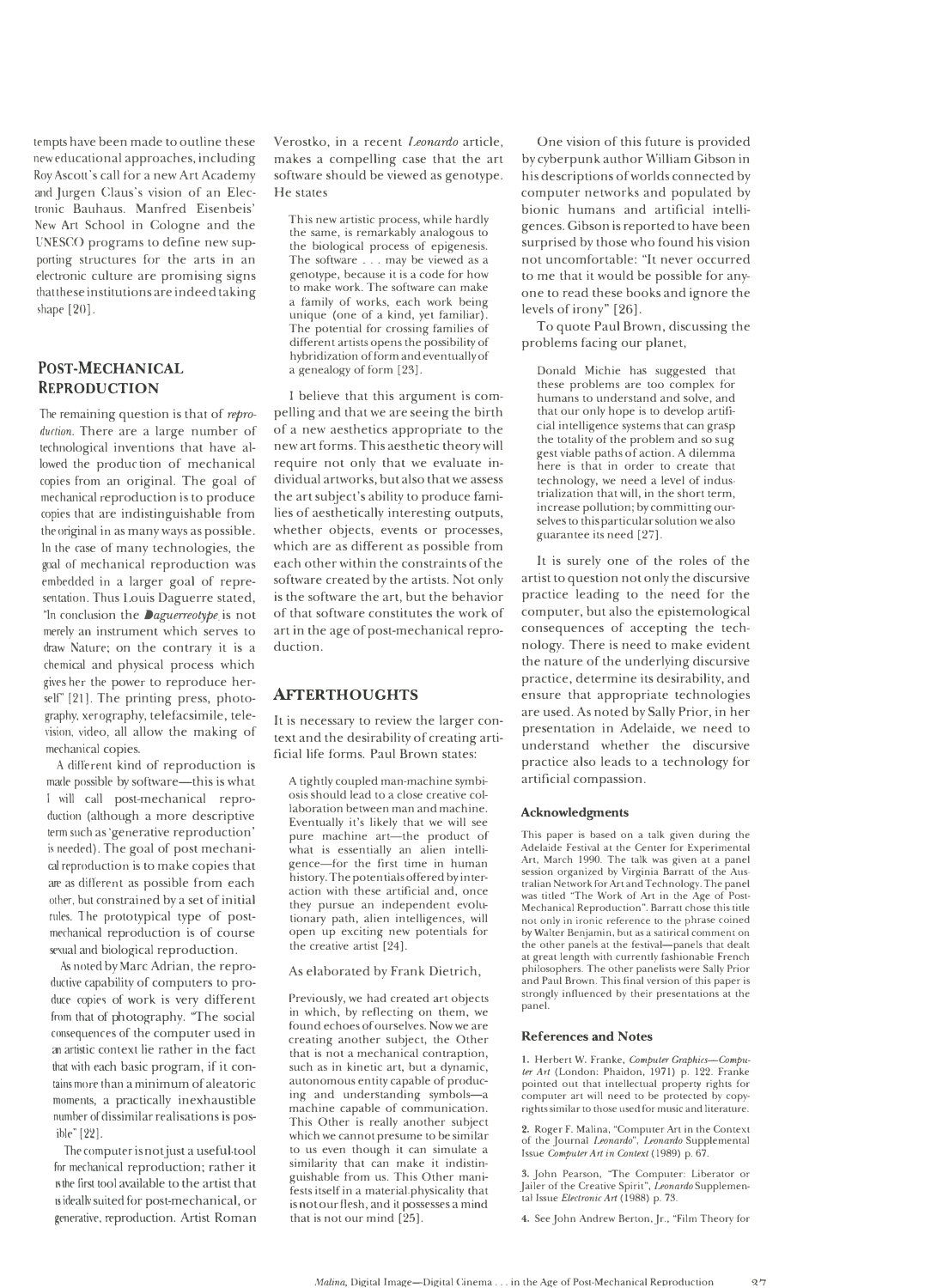tempts have been made to outline these new educational approaches, including Roy Ascott's call for a new Art Academy and Jurgen Claus's vision of an Electronic Bauhaus. Manfred Eisenbeis' New Art School in Cologne and the UNESCO programs to define new supporting structures for the arts in an electronic culture are promising signs that these institutions are indeed taking shape [20).

#### **POST-MECHANICAL REPRODUCTION**

The remaining question is that of *reproduction.* There are a large number of technological inventions that have allowed the produc tion of mechanical copies from an original. The goal of mechanical reproduction is to produce copies that are indistinguishable from the original in as many ways as possible. In the case of many technologies, the goal of mechanical reproduction was embedded in a larger goal of representation. Thus Louis Daguerre stated, "In conclusion the *Daguerreotype.* is not merely an instrument which serves to draw Nature; on the contrary it is a chemical and physical process which gives her the power to reproduce herself" [21]. The printing press, photography, xer ography, telefacsimile, telerision, video, all allow the making of mechanical copies.

A different kind of reproduction is made possible by software-this is what l will call post-mechanical reproduction (although a more descriptive term such as 'generative reproduction' is needed). The goal of post mechanical reproduction is to make copies that are as dif<sup>f</sup> erent as possible from each other, but constrained by a set of initial mies. The prototypical type of postmechanical reproduction is of course sexual and biological reproduction.

As noted by Marc Adrian, the reproductive capability of computers to produce copies of work is very different from that of photography. 'The social consequences of the computer used in an artistic context lie rather in the fact that with each basic program, if it contains more than a minimum of aleatoric moments, a practically inexhaustible number of dissimilar realisations is posible" [22].

The computer is not just a useful.tool for mechanical reproduction; rather it 1Sthe first tool available to the artist that IS ideallv suited for post-mechanical, or generative, reproduction. Artist Roman Verostko, in a recent *Leonardo* article, makes a compelling case that the art software should be viewed as genotype. He states

This new artistic process, while hardly the same, is remarkably analogous to the biological process of epigenesis. The software . . . may be viewed as a genotype, because it is a code for how to make work. The software can make a family of works, each work being unique (one of a kind, yet familiar). The potential for crossing families of different artists opens the possibility of hybridization of form and eventually of a genealogy of form (23].

I believe that this argument is compelling and that we are seeing the birth of a new aesthetics appropriate to the new art forms. This aesthetic theory will require not only that we evaluate individual artworks, but also that we assess the art subject's ability to produce families of aesthetically interesting outputs, whether objects, events or processes, which are as different as possible from each other within the constraints of the software created by the artists. Not only is the software the art, but the behavior of that software constitutes the work of art in the age of post-mechanical reproduction.

#### **AFTERTHOUGHTS**

It is necessary to review the larger context and the desirability of creating artificial life forms. Paul Brown states:

A tightly coupled man-machine symbiosis should lead to a close creative collaboration between man and machine. Eventually it's likely that we will see pure machine art-the product of what is essentially an alien intelligence-for the first time in human history. The potentials offered by interaction with these artificial and, once they pursue an independent evolutionary path, alien intelligences, will open up exciting new potentials for the creative artist (24].

As elaborated by Frank Dietrich,

Previously, we had created art objects in which, by reflecting on them, we found echoes of ourselves. Now we are creating another subject, the Other that is not a mechanical contraption, such as in kinetic art, but a dynamic, autonomous entity capable of producing and understanding symbols-a machine capable of communication. This Other is really another subject which we cannot presume to be similar to us even though it can simulate a similarity that can make it indistinguishable from us. This Other manifests itself in a material.physicality that is not our flesh, and it possesses a mind that is not our mind (25].

One vision of this future is provided by cyberpunk author William Gibson in his descriptions of worlds connected by computer networks and populated by bionic humans and artificial intelligences. Gibson is reported to have been surprised by those who found his vision not uncomfortable: "It never occurred to me that it would be possible for anyone to read these books and ignore the levels of irony" [26).

To quote Paul Brown, discussing the problems facing our planet,

Donald Michie has suggested that these problems are too complex for humans to understand and solve, and that our only hope is to develop artificial intelligence systems that can grasp the totality of the problem and so suggest viable paths of action. A dilemma here is that in order to create that technology, we need a level of industrialization that will, in the short term, increase pollution; by committing ourselves to this particular solution we also guarantee its need [27].

It is surely one of the roles of the artist to question not only the discursive practice leading to the need for the computer, but also the epistemological consequences of accepting the technology. There is need to make evident the nature of the underlying discursive practice, determine its desirability, and ensure that appropriate technologies are used. As noted by Sally Prior, in her presentation in Adelaide, we need to understand whether the discursive practice also leads to a technology for artificial compassion.

#### **Acknowledgments**

This paper is based on a talk given during the Adelaide Festival at the Center for Experimental Art, March 1990. The talk was given at a panel session organized by Virginia Barratt of the Australian Network for Art and Technology. The panel was titled "The Work of Art in the Age of Post-Mechanical Reproduction". Barratt chose this title **not only in ironic reference** to **the phrase coined**  by **Walter Benjamin, but as a satirical comment on**  the other panels at the festival-panels that dealt at great length with currently fashionable French philosophers. The other panelists were Sally Prior and Paul Brown. This final version of this paper is strongly influenced by their presentations at the panel.

#### **References and Notes**

I. Herbert W. Franke, *Computer Graphics-Computer Art* (London: Phaidon, 1971) p. 122. Franke pointed out that intellectual property rights for computer art will need to be protected by copy**rights similar to those used for music and literature.** 

2. Roger F. Malina, "Computer Art in the Context of the Journal *Leonardo", Leonardo* Supplemental Issue *Computer Art in Context* ( 1989) p. 67.

3. John Pearson, "The Computer: Liberator or Jailer of the Creative Spirit", *Leonardo* Supplemental Issue *Electronic Art* (1988) p. 73.

4. See John Andrew Berton, Jr., "Film Theory for